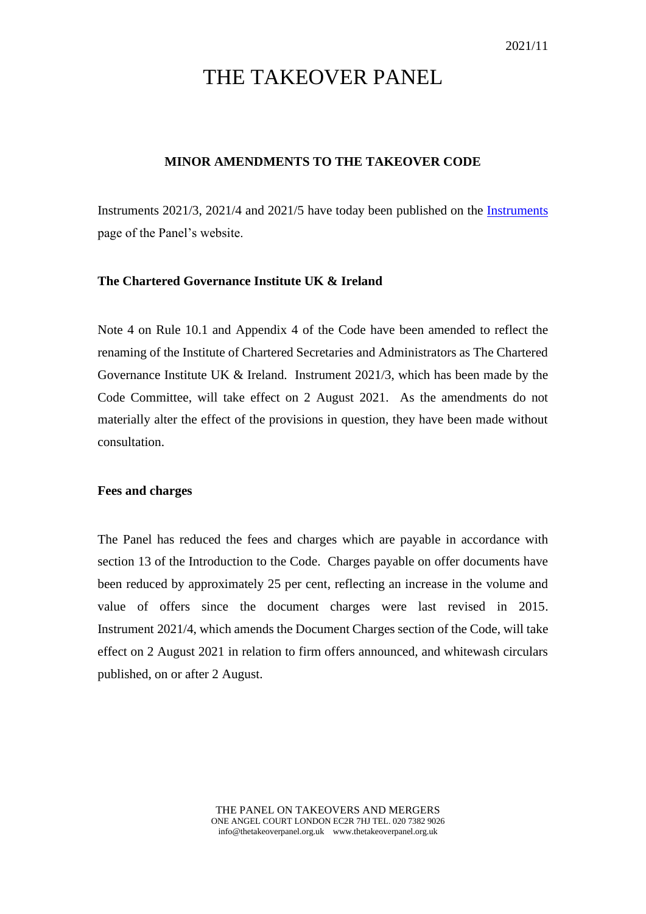# THE TAKEOVER PANEL

## **MINOR AMENDMENTS TO THE TAKEOVER CODE**

Instruments 2021/3, 2021/4 and 2021/5 have today been published on the [Instruments](https://www.thetakeoverpanel.org.uk/the-code/download-code/list-of-instruments-and-links) page of the Panel's website.

## **The Chartered Governance Institute UK & Ireland**

Note 4 on Rule 10.1 and Appendix 4 of the Code have been amended to reflect the renaming of the Institute of Chartered Secretaries and Administrators as The Chartered Governance Institute UK & Ireland. Instrument 2021/3, which has been made by the Code Committee, will take effect on 2 August 2021. As the amendments do not materially alter the effect of the provisions in question, they have been made without consultation.

#### **Fees and charges**

The Panel has reduced the fees and charges which are payable in accordance with section 13 of the Introduction to the Code. Charges payable on offer documents have been reduced by approximately 25 per cent, reflecting an increase in the volume and value of offers since the document charges were last revised in 2015. Instrument 2021/4, which amends the Document Charges section of the Code, will take effect on 2 August 2021 in relation to firm offers announced, and whitewash circulars published, on or after 2 August.